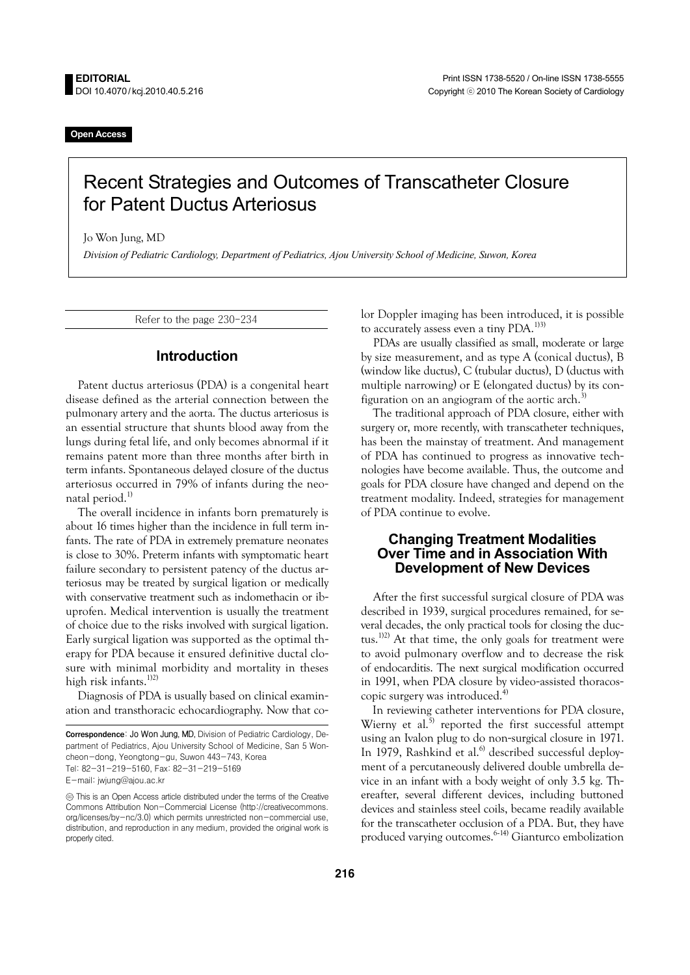**Open Access** 

# Recent Strategies and Outcomes of Transcatheter Closure for Patent Ductus Arteriosus

Jo Won Jung, MD

*Division of Pediatric Cardiology, Department of Pediatrics, Ajou University School of Medicine, Suwon, Korea* 

Refer to the page 230-234

### **Introduction**

Patent ductus arteriosus (PDA) is a congenital heart disease defined as the arterial connection between the pulmonary artery and the aorta. The ductus arteriosus is an essential structure that shunts blood away from the lungs during fetal life, and only becomes abnormal if it remains patent more than three months after birth in term infants. Spontaneous delayed closure of the ductus arteriosus occurred in 79% of infants during the neonatal period.<sup>1)</sup>

The overall incidence in infants born prematurely is about 16 times higher than the incidence in full term infants. The rate of PDA in extremely premature neonates is close to 30%. Preterm infants with symptomatic heart failure secondary to persistent patency of the ductus arteriosus may be treated by surgical ligation or medically with conservative treatment such as indomethacin or ibuprofen. Medical intervention is usually the treatment of choice due to the risks involved with surgical ligation. Early surgical ligation was supported as the optimal therapy for PDA because it ensured definitive ductal closure with minimal morbidity and mortality in theses high risk infants.<sup>1)2)</sup>

Diagnosis of PDA is usually based on clinical examination and transthoracic echocardiography. Now that color Doppler imaging has been introduced, it is possible to accurately assess even a tiny PDA.<sup>1)3)</sup>

PDAs are usually classified as small, moderate or large by size measurement, and as type A (conical ductus), B (window like ductus), C (tubular ductus), D (ductus with multiple narrowing) or E (elongated ductus) by its configuration on an angiogram of the aortic arch. $3$ 

The traditional approach of PDA closure, either with surgery or, more recently, with transcatheter techniques, has been the mainstay of treatment. And management of PDA has continued to progress as innovative technologies have become available. Thus, the outcome and goals for PDA closure have changed and depend on the treatment modality. Indeed, strategies for management of PDA continue to evolve.

### **Changing Treatment Modalities Over Time and in Association With Development of New Devices**

After the first successful surgical closure of PDA was described in 1939, surgical procedures remained, for several decades, the only practical tools for closing the ductus.<sup>1)2)</sup> At that time, the only goals for treatment were to avoid pulmonary overflow and to decrease the risk of endocarditis. The next surgical modification occurred in 1991, when PDA closure by video-assisted thoracoscopic surgery was introduced.<sup>4)</sup>

In reviewing catheter interventions for PDA closure, Wierny et al.<sup>5)</sup> reported the first successful attempt using an Ivalon plug to do non-surgical closure in 1971. In 1979, Rashkind et al.<sup>6)</sup> described successful deployment of a percutaneously delivered double umbrella device in an infant with a body weight of only 3.5 kg. Thereafter, several different devices, including buttoned devices and stainless steel coils, became readily available for the transcatheter occlusion of a PDA. But, they have produced varying outcomes.<sup>6-14)</sup> Gianturco embolization

Correspondence: Jo Won Jung, MD, Division of Pediatric Cardiology, Department of Pediatrics, Ajou University School of Medicine, San 5 Woncheon-dong, Yeongtong-gu, Suwon 443-743, Korea Tel: 82-31-219-5160, Fax: 82-31-219-5169 E-mail: jwjung@ajou.ac.kr

 $\circledcirc$  This is an Open Access article distributed under the terms of the Creative Commons Attribution Non-Commercial License (http://creativecommons. org/licenses/by-nc/3.0) which permits unrestricted non-commercial use, distribution, and reproduction in any medium, provided the original work is properly cited.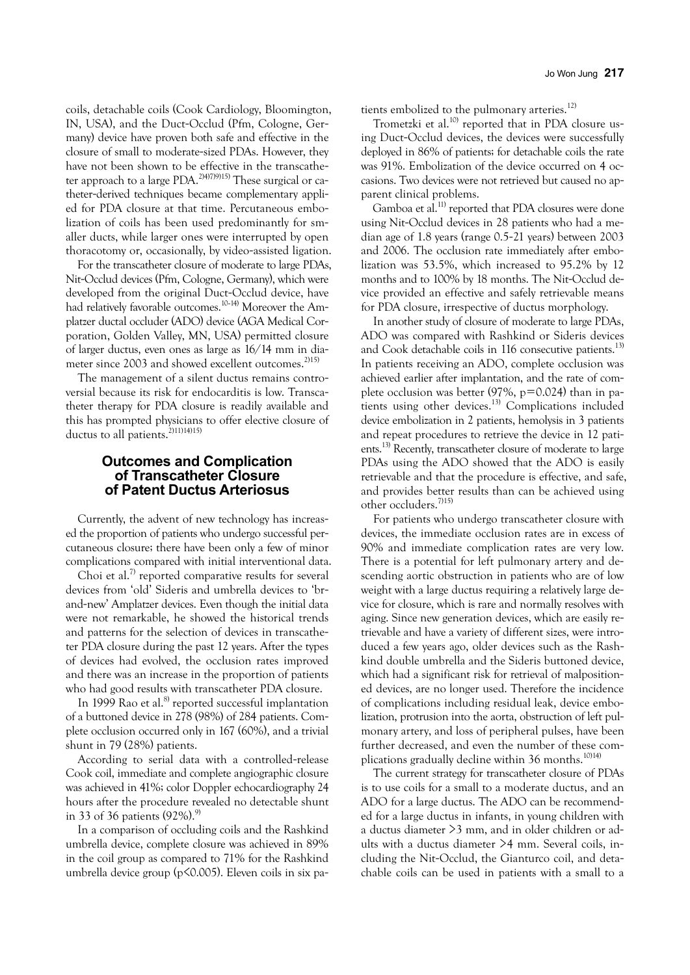coils, detachable coils (Cook Cardiology, Bloomington, IN, USA), and the Duct-Occlud (Pfm, Cologne, Germany) device have proven both safe and effective in the closure of small to moderate-sized PDAs. However, they have not been shown to be effective in the transcatheter approach to a large PDA.<sup>2)4)7)9)15)</sup> These surgical or catheter-derived techniques became complementary applied for PDA closure at that time. Percutaneous embolization of coils has been used predominantly for smaller ducts, while larger ones were interrupted by open thoracotomy or, occasionally, by video-assisted ligation.

For the transcatheter closure of moderate to large PDAs, Nit-Occlud devices (Pfm, Cologne, Germany), which were developed from the original Duct-Occlud device, have had relatively favorable outcomes.10-14) Moreover the Amplatzer ductal occluder (ADO) device (AGA Medical Corporation, Golden Valley, MN, USA) permitted closure of larger ductus, even ones as large as 16/14 mm in diameter since 2003 and showed excellent outcomes.<sup>2)15)</sup>

The management of a silent ductus remains controversial because its risk for endocarditis is low. Transcatheter therapy for PDA closure is readily available and this has prompted physicians to offer elective closure of ductus to all patients.<sup>2)11)14)15)</sup>

## **Outcomes and Complication of Transcatheter Closure of Patent Ductus Arteriosus**

Currently, the advent of new technology has increased the proportion of patients who undergo successful percutaneous closure; there have been only a few of minor complications compared with initial interventional data.

Choi et al.<sup>7)</sup> reported comparative results for several devices from 'old' Sideris and umbrella devices to 'brand-new' Amplatzer devices. Even though the initial data were not remarkable, he showed the historical trends and patterns for the selection of devices in transcatheter PDA closure during the past 12 years. After the types of devices had evolved, the occlusion rates improved and there was an increase in the proportion of patients who had good results with transcatheter PDA closure.

In 1999 Rao et al. $8$ <sup>t</sup> reported successful implantation of a buttoned device in 278 (98%) of 284 patients. Complete occlusion occurred only in 167 (60%), and a trivial shunt in 79 (28%) patients.

According to serial data with a controlled-release Cook coil, immediate and complete angiographic closure was achieved in 41%; color Doppler echocardiography 24 hours after the procedure revealed no detectable shunt in 33 of 36 patients (92%). $^{\textrm{\tiny{(3)}}}$ 

In a comparison of occluding coils and the Rashkind umbrella device, complete closure was achieved in 89% in the coil group as compared to 71% for the Rashkind umbrella device group (p<0.005). Eleven coils in six patients embolized to the pulmonary arteries.<sup>12)</sup>

Trometzki et al.<sup>10)</sup> reported that in PDA closure using Duct-Occlud devices, the devices were successfully deployed in 86% of patients; for detachable coils the rate was 91%. Embolization of the device occurred on 4 occasions. Two devices were not retrieved but caused no apparent clinical problems.

Gamboa et al.<sup>11)</sup> reported that PDA closures were done using Nit-Occlud devices in 28 patients who had a median age of 1.8 years (range 0.5-21 years) between 2003 and 2006. The occlusion rate immediately after embolization was 53.5%, which increased to 95.2% by 12 months and to 100% by 18 months. The Nit-Occlud device provided an effective and safely retrievable means for PDA closure, irrespective of ductus morphology.

In another study of closure of moderate to large PDAs, ADO was compared with Rashkind or Sideris devices and Cook detachable coils in 116 consecutive patients.<sup>13)</sup> In patients receiving an ADO, complete occlusion was achieved earlier after implantation, and the rate of complete occlusion was better (97%,  $p=0.024$ ) than in patients using other devices.13) Complications included device embolization in 2 patients, hemolysis in 3 patients and repeat procedures to retrieve the device in 12 patients.<sup>13)</sup> Recently, transcatheter closure of moderate to large PDAs using the ADO showed that the ADO is easily retrievable and that the procedure is effective, and safe, and provides better results than can be achieved using other occluders.7)15)

For patients who undergo transcatheter closure with devices, the immediate occlusion rates are in excess of 90% and immediate complication rates are very low. There is a potential for left pulmonary artery and descending aortic obstruction in patients who are of low weight with a large ductus requiring a relatively large device for closure, which is rare and normally resolves with aging. Since new generation devices, which are easily retrievable and have a variety of different sizes, were introduced a few years ago, older devices such as the Rashkind double umbrella and the Sideris buttoned device, which had a significant risk for retrieval of malpositioned devices, are no longer used. Therefore the incidence of complications including residual leak, device embolization, protrusion into the aorta, obstruction of left pulmonary artery, and loss of peripheral pulses, have been further decreased, and even the number of these complications gradually decline within 36 months.<sup>10)14)</sup>

The current strategy for transcatheter closure of PDAs is to use coils for a small to a moderate ductus, and an ADO for a large ductus. The ADO can be recommended for a large ductus in infants, in young children with a ductus diameter >3 mm, and in older children or adults with a ductus diameter >4 mm. Several coils, including the Nit-Occlud, the Gianturco coil, and detachable coils can be used in patients with a small to a